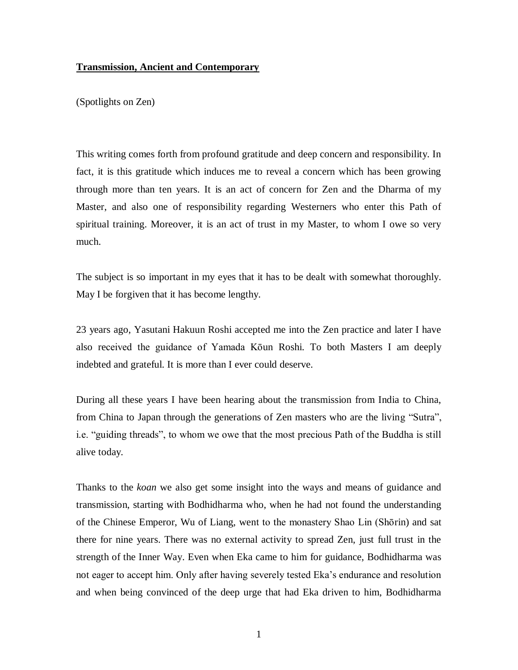## **Transmission, Ancient and Contemporary**

(Spotlights on Zen)

This writing comes forth from profound gratitude and deep concern and responsibility. In fact, it is this gratitude which induces me to reveal a concern which has been growing through more than ten years. It is an act of concern for Zen and the Dharma of my Master, and also one of responsibility regarding Westerners who enter this Path of spiritual training. Moreover, it is an act of trust in my Master, to whom I owe so very much.

The subject is so important in my eyes that it has to be dealt with somewhat thoroughly. May I be forgiven that it has become lengthy.

23 years ago, Yasutani Hakuun Roshi accepted me into the Zen practice and later I have also received the guidance of Yamada Kōun Roshi. To both Masters I am deeply indebted and grateful. It is more than I ever could deserve.

During all these years I have been hearing about the transmission from India to China, from China to Japan through the generations of Zen masters who are the living "Sutra", i.e. "guiding threads", to whom we owe that the most precious Path of the Buddha is still alive today.

Thanks to the *koan* we also get some insight into the ways and means of guidance and transmission, starting with Bodhidharma who, when he had not found the understanding of the Chinese Emperor, Wu of Liang, went to the monastery Shao Lin (Shōrin) and sat there for nine years. There was no external activity to spread Zen, just full trust in the strength of the Inner Way. Even when Eka came to him for guidance, Bodhidharma was not eager to accept him. Only after having severely tested Eka's endurance and resolution and when being convinced of the deep urge that had Eka driven to him, Bodhidharma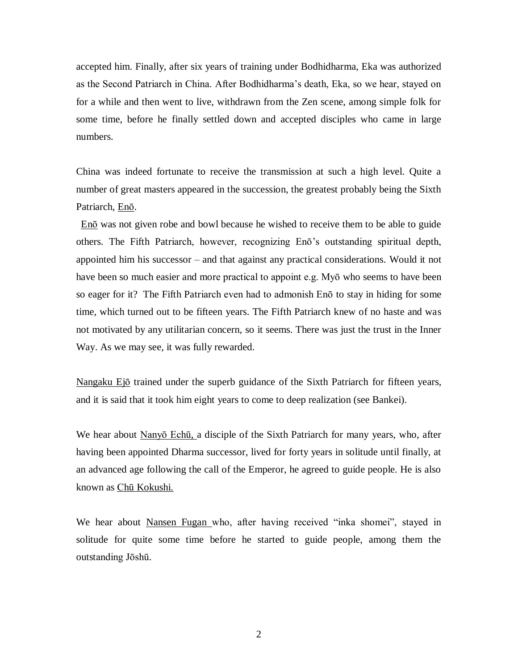accepted him. Finally, after six years of training under Bodhidharma, Eka was authorized as the Second Patriarch in China. After Bodhidharma's death, Eka, so we hear, stayed on for a while and then went to live, withdrawn from the Zen scene, among simple folk for some time, before he finally settled down and accepted disciples who came in large numbers.

China was indeed fortunate to receive the transmission at such a high level. Quite a number of great masters appeared in the succession, the greatest probably being the Sixth Patriarch, Enō.

 Enō was not given robe and bowl because he wished to receive them to be able to guide others. The Fifth Patriarch, however, recognizing Enō's outstanding spiritual depth, appointed him his successor – and that against any practical considerations. Would it not have been so much easier and more practical to appoint e.g. Myō who seems to have been so eager for it? The Fifth Patriarch even had to admonish Enō to stay in hiding for some time, which turned out to be fifteen years. The Fifth Patriarch knew of no haste and was not motivated by any utilitarian concern, so it seems. There was just the trust in the Inner Way. As we may see, it was fully rewarded.

Nangaku Ejō trained under the superb guidance of the Sixth Patriarch for fifteen years, and it is said that it took him eight years to come to deep realization (see Bankei).

We hear about Nanyo Echū, a disciple of the Sixth Patriarch for many years, who, after having been appointed Dharma successor, lived for forty years in solitude until finally, at an advanced age following the call of the Emperor, he agreed to guide people. He is also known as Chū Kokushi.

We hear about Nansen Fugan who, after having received "inka shomei", stayed in solitude for quite some time before he started to guide people, among them the outstanding Jōshū.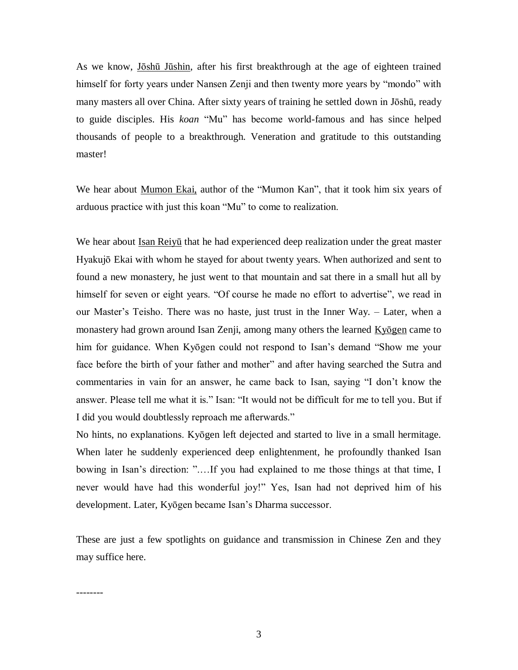As we know, Jōshū Jūshin, after his first breakthrough at the age of eighteen trained himself for forty years under Nansen Zenji and then twenty more years by "mondo" with many masters all over China. After sixty years of training he settled down in Jōshū, ready to guide disciples. His *koan* "Mu" has become world-famous and has since helped thousands of people to a breakthrough. Veneration and gratitude to this outstanding master!

We hear about <u>Mumon Ekai</u>, author of the "Mumon Kan", that it took him six years of arduous practice with just this koan "Mu" to come to realization.

We hear about Isan Reiyū that he had experienced deep realization under the great master Hyakujō Ekai with whom he stayed for about twenty years. When authorized and sent to found a new monastery, he just went to that mountain and sat there in a small hut all by himself for seven or eight years. "Of course he made no effort to advertise", we read in our Master's Teisho. There was no haste, just trust in the Inner Way. – Later, when a monastery had grown around Isan Zenji, among many others the learned Kyogen came to him for guidance. When Kyōgen could not respond to Isan's demand "Show me your face before the birth of your father and mother" and after having searched the Sutra and commentaries in vain for an answer, he came back to Isan, saying "I don't know the answer. Please tell me what it is." Isan: "It would not be difficult for me to tell you. But if I did you would doubtlessly reproach me afterwards."

No hints, no explanations. Kyōgen left dejected and started to live in a small hermitage. When later he suddenly experienced deep enlightenment, he profoundly thanked Isan bowing in Isan's direction: ".…If you had explained to me those things at that time, I never would have had this wonderful joy!" Yes, Isan had not deprived him of his development. Later, Kyōgen became Isan's Dharma successor.

These are just a few spotlights on guidance and transmission in Chinese Zen and they may suffice here.

--------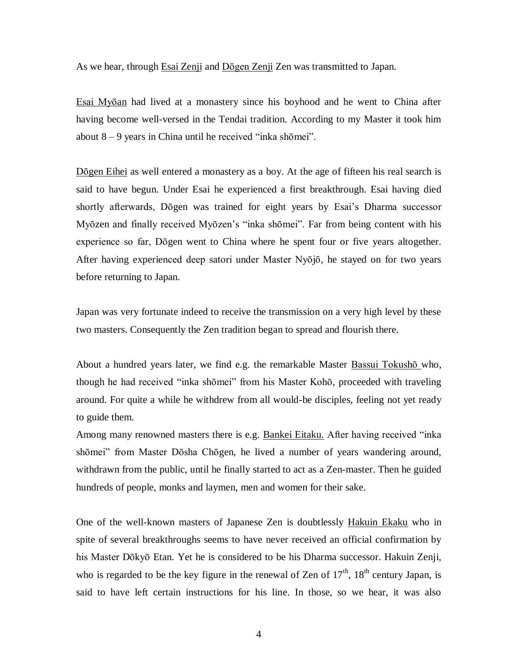As we hear, through Esai Zenji and Dōgen Zenji Zen was transmitted to Japan.

Esai Myōan had lived at a monastery since his boyhood and he went to China after having become well-versed in the Tendai tradition. According to my Master it took him about 8 – 9 years in China until he received "inka shōmei".

Dōgen Eihei as well entered a monastery as a boy. At the age of fifteen his real search is said to have begun. Under Esai he experienced a first breakthrough. Esai having died shortly afterwards, Dōgen was trained for eight years by Esai's Dharma successor Myōzen and finally received Myōzen's "inka shōmei". Far from being content with his experience so far, Dōgen went to China where he spent four or five years altogether. After having experienced deep satori under Master Nyōjō, he stayed on for two years before returning to Japan.

Japan was very fortunate indeed to receive the transmission on a very high level by these two masters. Consequently the Zen tradition began to spread and flourish there.

About a hundred years later, we find e.g. the remarkable Master Bassui Tokusho who, though he had received "inka shōmei" from his Master Kohō, proceeded with traveling around. For quite a while he withdrew from all would-be disciples, feeling not yet ready to guide them.

Among many renowned masters there is e.g. Bankei Eitaku. After having received "inka shōmei" from Master Dōsha Chōgen, he lived a number of years wandering around, withdrawn from the public, until he finally started to act as a Zen-master. Then he guided hundreds of people, monks and laymen, men and women for their sake.

One of the well-known masters of Japanese Zen is doubtlessly Hakuin Ekaku who in spite of several breakthroughs seems to have never received an official confirmation by his Master Dōkyō Etan. Yet he is considered to be his Dharma successor. Hakuin Zenji, who is regarded to be the key figure in the renewal of Zen of  $17<sup>th</sup>$ ,  $18<sup>th</sup>$  century Japan, is said to have left certain instructions for his line. In those, so we hear, it was also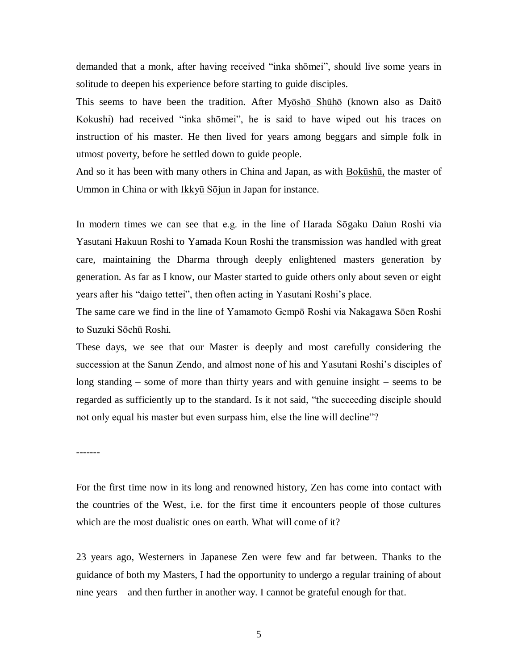demanded that a monk, after having received "inka shōmei", should live some years in solitude to deepen his experience before starting to guide disciples.

This seems to have been the tradition. After Myōshō Shūhō (known also as Daitō Kokushi) had received "inka shōmei", he is said to have wiped out his traces on instruction of his master. He then lived for years among beggars and simple folk in utmost poverty, before he settled down to guide people.

And so it has been with many others in China and Japan, as with Bokūshū, the master of Ummon in China or with Ikkyū Sōjun in Japan for instance.

In modern times we can see that e.g. in the line of Harada Sōgaku Daiun Roshi via Yasutani Hakuun Roshi to Yamada Koun Roshi the transmission was handled with great care, maintaining the Dharma through deeply enlightened masters generation by generation. As far as I know, our Master started to guide others only about seven or eight years after his "daigo tettei", then often acting in Yasutani Roshi's place.

The same care we find in the line of Yamamoto Gempō Roshi via Nakagawa Sōen Roshi to Suzuki Sōchū Roshi.

These days, we see that our Master is deeply and most carefully considering the succession at the Sanun Zendo, and almost none of his and Yasutani Roshi's disciples of long standing – some of more than thirty years and with genuine insight – seems to be regarded as sufficiently up to the standard. Is it not said, "the succeeding disciple should not only equal his master but even surpass him, else the line will decline"?

-------

For the first time now in its long and renowned history, Zen has come into contact with the countries of the West, i.e. for the first time it encounters people of those cultures which are the most dualistic ones on earth. What will come of it?

23 years ago, Westerners in Japanese Zen were few and far between. Thanks to the guidance of both my Masters, I had the opportunity to undergo a regular training of about nine years – and then further in another way. I cannot be grateful enough for that.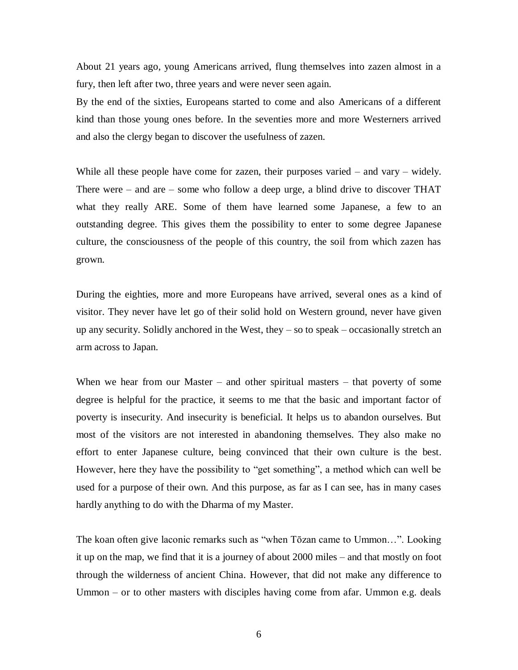About 21 years ago, young Americans arrived, flung themselves into zazen almost in a fury, then left after two, three years and were never seen again.

By the end of the sixties, Europeans started to come and also Americans of a different kind than those young ones before. In the seventies more and more Westerners arrived and also the clergy began to discover the usefulness of zazen.

While all these people have come for zazen, their purposes varied – and vary – widely. There were – and are – some who follow a deep urge, a blind drive to discover THAT what they really ARE. Some of them have learned some Japanese, a few to an outstanding degree. This gives them the possibility to enter to some degree Japanese culture, the consciousness of the people of this country, the soil from which zazen has grown.

During the eighties, more and more Europeans have arrived, several ones as a kind of visitor. They never have let go of their solid hold on Western ground, never have given up any security. Solidly anchored in the West, they – so to speak – occasionally stretch an arm across to Japan.

When we hear from our Master – and other spiritual masters – that poverty of some degree is helpful for the practice, it seems to me that the basic and important factor of poverty is insecurity. And insecurity is beneficial. It helps us to abandon ourselves. But most of the visitors are not interested in abandoning themselves. They also make no effort to enter Japanese culture, being convinced that their own culture is the best. However, here they have the possibility to "get something", a method which can well be used for a purpose of their own. And this purpose, as far as I can see, has in many cases hardly anything to do with the Dharma of my Master.

The koan often give laconic remarks such as "when Tōzan came to Ummon…". Looking it up on the map, we find that it is a journey of about 2000 miles – and that mostly on foot through the wilderness of ancient China. However, that did not make any difference to Ummon – or to other masters with disciples having come from afar. Ummon e.g. deals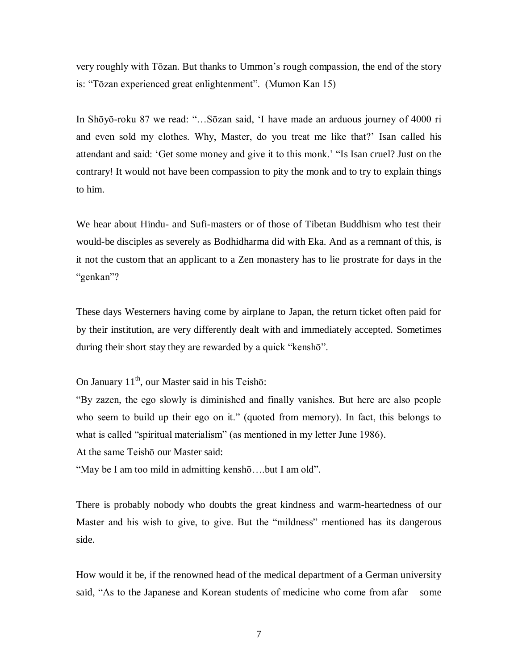very roughly with Tōzan. But thanks to Ummon's rough compassion, the end of the story is: "Tōzan experienced great enlightenment". (Mumon Kan 15)

In Shōyō-roku 87 we read: "…Sōzan said, 'I have made an arduous journey of 4000 ri and even sold my clothes. Why, Master, do you treat me like that?' Isan called his attendant and said: 'Get some money and give it to this monk.' "Is Isan cruel? Just on the contrary! It would not have been compassion to pity the monk and to try to explain things to him.

We hear about Hindu- and Sufi-masters or of those of Tibetan Buddhism who test their would-be disciples as severely as Bodhidharma did with Eka. And as a remnant of this, is it not the custom that an applicant to a Zen monastery has to lie prostrate for days in the "genkan"?

These days Westerners having come by airplane to Japan, the return ticket often paid for by their institution, are very differently dealt with and immediately accepted. Sometimes during their short stay they are rewarded by a quick "kenshō".

On January  $11<sup>th</sup>$ , our Master said in his Teishō:

"By zazen, the ego slowly is diminished and finally vanishes. But here are also people who seem to build up their ego on it." (quoted from memory). In fact, this belongs to what is called "spiritual materialism" (as mentioned in my letter June 1986).

At the same Teishō our Master said:

"May be I am too mild in admitting kenshō….but I am old".

There is probably nobody who doubts the great kindness and warm-heartedness of our Master and his wish to give, to give. But the "mildness" mentioned has its dangerous side.

How would it be, if the renowned head of the medical department of a German university said, "As to the Japanese and Korean students of medicine who come from afar – some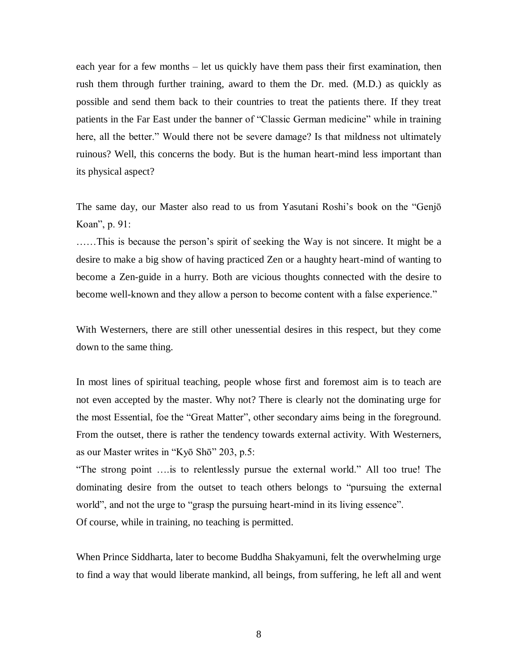each year for a few months – let us quickly have them pass their first examination, then rush them through further training, award to them the Dr. med. (M.D.) as quickly as possible and send them back to their countries to treat the patients there. If they treat patients in the Far East under the banner of "Classic German medicine" while in training here, all the better." Would there not be severe damage? Is that mildness not ultimately ruinous? Well, this concerns the body. But is the human heart-mind less important than its physical aspect?

The same day, our Master also read to us from Yasutani Roshi's book on the "Genjō Koan", p. 91:

……This is because the person's spirit of seeking the Way is not sincere. It might be a desire to make a big show of having practiced Zen or a haughty heart-mind of wanting to become a Zen-guide in a hurry. Both are vicious thoughts connected with the desire to become well-known and they allow a person to become content with a false experience."

With Westerners, there are still other unessential desires in this respect, but they come down to the same thing.

In most lines of spiritual teaching, people whose first and foremost aim is to teach are not even accepted by the master. Why not? There is clearly not the dominating urge for the most Essential, foe the "Great Matter", other secondary aims being in the foreground. From the outset, there is rather the tendency towards external activity. With Westerners, as our Master writes in "Kyō Shō" 203, p.5:

"The strong point ….is to relentlessly pursue the external world." All too true! The dominating desire from the outset to teach others belongs to "pursuing the external world", and not the urge to "grasp the pursuing heart-mind in its living essence". Of course, while in training, no teaching is permitted.

When Prince Siddharta, later to become Buddha Shakyamuni, felt the overwhelming urge to find a way that would liberate mankind, all beings, from suffering, he left all and went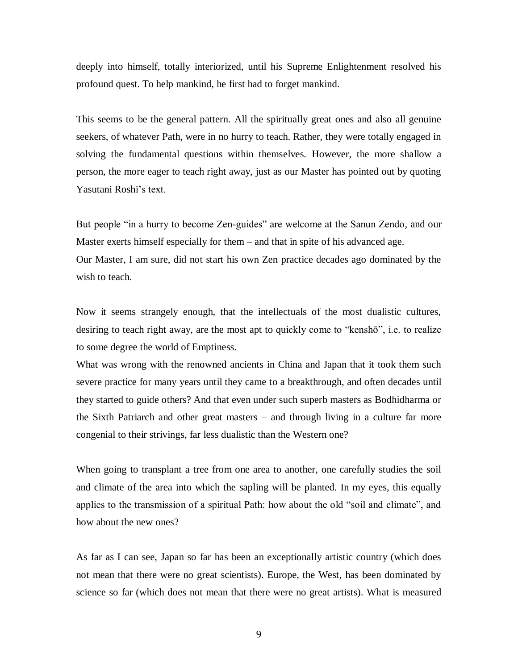deeply into himself, totally interiorized, until his Supreme Enlightenment resolved his profound quest. To help mankind, he first had to forget mankind.

This seems to be the general pattern. All the spiritually great ones and also all genuine seekers, of whatever Path, were in no hurry to teach. Rather, they were totally engaged in solving the fundamental questions within themselves. However, the more shallow a person, the more eager to teach right away, just as our Master has pointed out by quoting Yasutani Roshi's text.

But people "in a hurry to become Zen-guides" are welcome at the Sanun Zendo, and our Master exerts himself especially for them – and that in spite of his advanced age. Our Master, I am sure, did not start his own Zen practice decades ago dominated by the wish to teach.

Now it seems strangely enough, that the intellectuals of the most dualistic cultures, desiring to teach right away, are the most apt to quickly come to "kenshō", i.e. to realize to some degree the world of Emptiness.

What was wrong with the renowned ancients in China and Japan that it took them such severe practice for many years until they came to a breakthrough, and often decades until they started to guide others? And that even under such superb masters as Bodhidharma or the Sixth Patriarch and other great masters – and through living in a culture far more congenial to their strivings, far less dualistic than the Western one?

When going to transplant a tree from one area to another, one carefully studies the soil and climate of the area into which the sapling will be planted. In my eyes, this equally applies to the transmission of a spiritual Path: how about the old "soil and climate", and how about the new ones?

As far as I can see, Japan so far has been an exceptionally artistic country (which does not mean that there were no great scientists). Europe, the West, has been dominated by science so far (which does not mean that there were no great artists). What is measured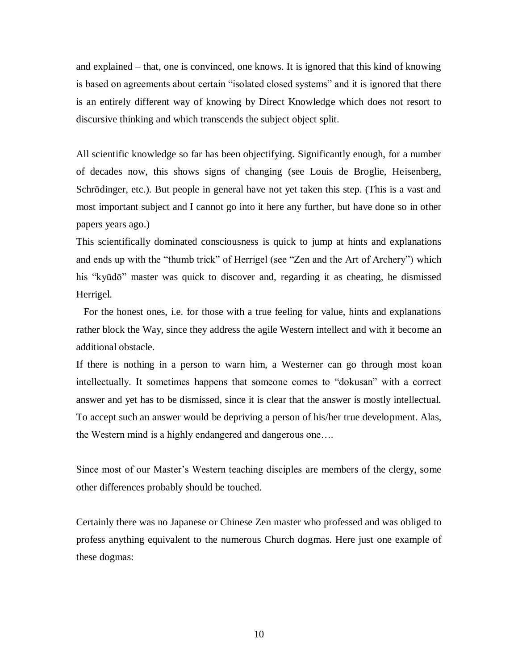and explained – that, one is convinced, one knows. It is ignored that this kind of knowing is based on agreements about certain "isolated closed systems" and it is ignored that there is an entirely different way of knowing by Direct Knowledge which does not resort to discursive thinking and which transcends the subject object split.

All scientific knowledge so far has been objectifying. Significantly enough, for a number of decades now, this shows signs of changing (see Louis de Broglie, Heisenberg, Schrödinger, etc.). But people in general have not yet taken this step. (This is a vast and most important subject and I cannot go into it here any further, but have done so in other papers years ago.)

This scientifically dominated consciousness is quick to jump at hints and explanations and ends up with the "thumb trick" of Herrigel (see "Zen and the Art of Archery") which his "kyūdō" master was quick to discover and, regarding it as cheating, he dismissed Herrigel.

 For the honest ones, i.e. for those with a true feeling for value, hints and explanations rather block the Way, since they address the agile Western intellect and with it become an additional obstacle.

If there is nothing in a person to warn him, a Westerner can go through most koan intellectually. It sometimes happens that someone comes to "dokusan" with a correct answer and yet has to be dismissed, since it is clear that the answer is mostly intellectual. To accept such an answer would be depriving a person of his/her true development. Alas, the Western mind is a highly endangered and dangerous one….

Since most of our Master's Western teaching disciples are members of the clergy, some other differences probably should be touched.

Certainly there was no Japanese or Chinese Zen master who professed and was obliged to profess anything equivalent to the numerous Church dogmas. Here just one example of these dogmas: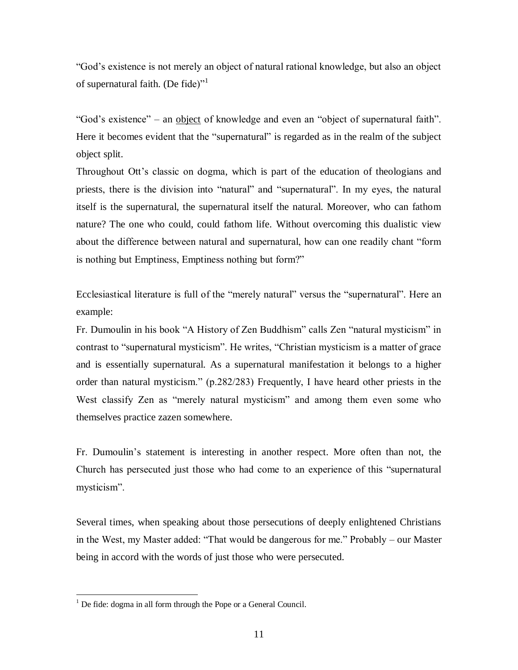"God's existence is not merely an object of natural rational knowledge, but also an object of supernatural faith. (De fide)<sup>"1</sup>

"God's existence" – an object of knowledge and even an "object of supernatural faith". Here it becomes evident that the "supernatural" is regarded as in the realm of the subject object split.

Throughout Ott's classic on dogma, which is part of the education of theologians and priests, there is the division into "natural" and "supernatural". In my eyes, the natural itself is the supernatural, the supernatural itself the natural. Moreover, who can fathom nature? The one who could, could fathom life. Without overcoming this dualistic view about the difference between natural and supernatural, how can one readily chant "form is nothing but Emptiness, Emptiness nothing but form?"

Ecclesiastical literature is full of the "merely natural" versus the "supernatural". Here an example:

Fr. Dumoulin in his book "A History of Zen Buddhism" calls Zen "natural mysticism" in contrast to "supernatural mysticism". He writes, "Christian mysticism is a matter of grace and is essentially supernatural. As a supernatural manifestation it belongs to a higher order than natural mysticism." (p.282/283) Frequently, I have heard other priests in the West classify Zen as "merely natural mysticism" and among them even some who themselves practice zazen somewhere.

Fr. Dumoulin's statement is interesting in another respect. More often than not, the Church has persecuted just those who had come to an experience of this "supernatural mysticism".

Several times, when speaking about those persecutions of deeply enlightened Christians in the West, my Master added: "That would be dangerous for me." Probably – our Master being in accord with the words of just those who were persecuted.

 $\overline{a}$ 

 $<sup>1</sup>$  De fide: dogma in all form through the Pope or a General Council.</sup>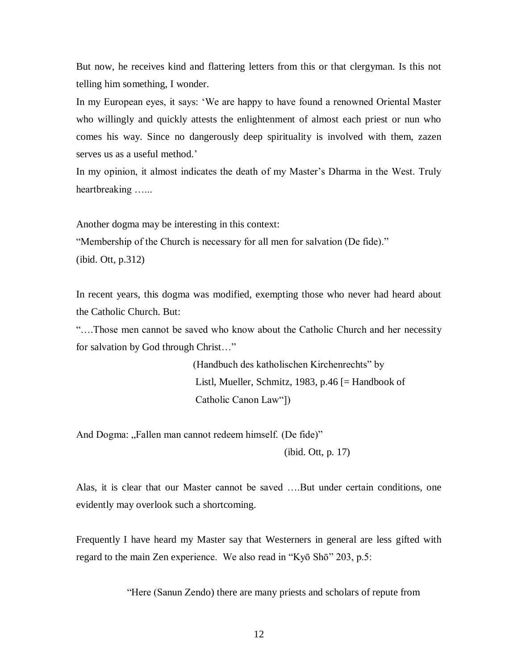But now, he receives kind and flattering letters from this or that clergyman. Is this not telling him something, I wonder.

In my European eyes, it says: 'We are happy to have found a renowned Oriental Master who willingly and quickly attests the enlightenment of almost each priest or nun who comes his way. Since no dangerously deep spirituality is involved with them, zazen serves us as a useful method.'

In my opinion, it almost indicates the death of my Master's Dharma in the West. Truly heartbreaking …...

Another dogma may be interesting in this context:

"Membership of the Church is necessary for all men for salvation (De fide)." (ibid. Ott, p.312)

In recent years, this dogma was modified, exempting those who never had heard about the Catholic Church. But:

"….Those men cannot be saved who know about the Catholic Church and her necessity for salvation by God through Christ…"

> (Handbuch des katholischen Kirchenrechts" by Listl, Mueller, Schmitz, 1983, p.46 [= Handbook of Catholic Canon Law"])

And Dogma: "Fallen man cannot redeem himself. (De fide)"

(ibid. Ott, p. 17)

Alas, it is clear that our Master cannot be saved ….But under certain conditions, one evidently may overlook such a shortcoming.

Frequently I have heard my Master say that Westerners in general are less gifted with regard to the main Zen experience. We also read in "Kyō Shō" 203, p.5:

"Here (Sanun Zendo) there are many priests and scholars of repute from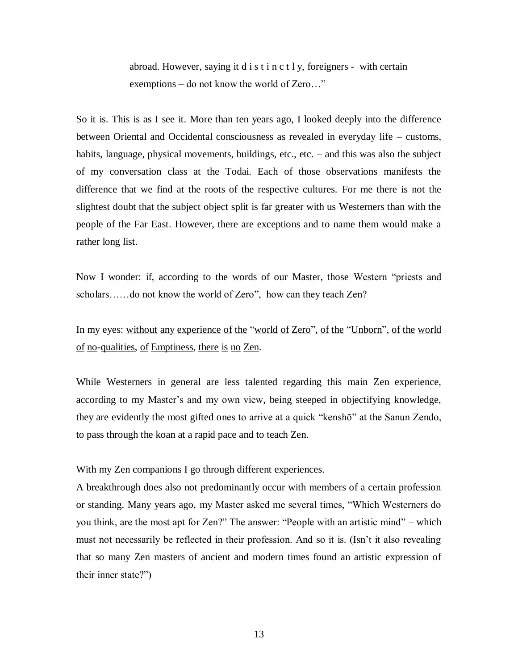abroad. However, saying it d i s t i n c t l y, foreigners - with certain exemptions – do not know the world of Zero…"

So it is. This is as I see it. More than ten years ago, I looked deeply into the difference between Oriental and Occidental consciousness as revealed in everyday life – customs, habits, language, physical movements, buildings, etc., etc. – and this was also the subject of my conversation class at the Todai. Each of those observations manifests the difference that we find at the roots of the respective cultures. For me there is not the slightest doubt that the subject object split is far greater with us Westerners than with the people of the Far East. However, there are exceptions and to name them would make a rather long list.

Now I wonder: if, according to the words of our Master, those Western "priests and scholars……do not know the world of Zero", how can they teach Zen?

In my eyes: without any experience of the "world of Zero", of the "Unborn", of the world of no-qualities, of Emptiness, there is no Zen.

While Westerners in general are less talented regarding this main Zen experience, according to my Master's and my own view, being steeped in objectifying knowledge, they are evidently the most gifted ones to arrive at a quick "kenshō" at the Sanun Zendo, to pass through the koan at a rapid pace and to teach Zen.

With my Zen companions I go through different experiences.

A breakthrough does also not predominantly occur with members of a certain profession or standing. Many years ago, my Master asked me several times, "Which Westerners do you think, are the most apt for Zen?" The answer: "People with an artistic mind" – which must not necessarily be reflected in their profession. And so it is. (Isn't it also revealing that so many Zen masters of ancient and modern times found an artistic expression of their inner state?")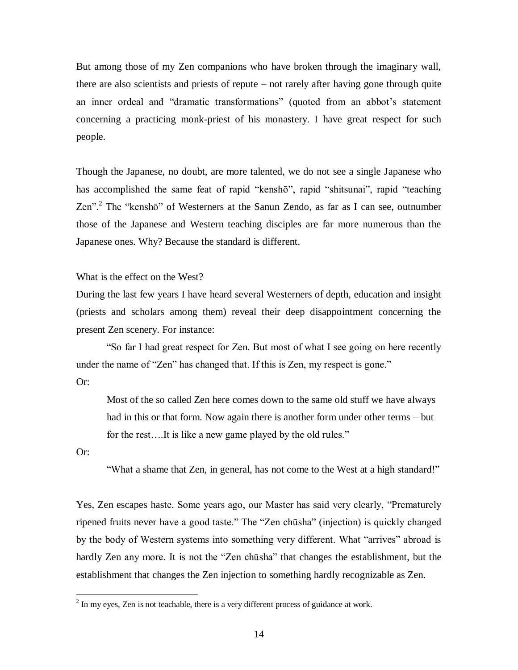But among those of my Zen companions who have broken through the imaginary wall, there are also scientists and priests of repute – not rarely after having gone through quite an inner ordeal and "dramatic transformations" (quoted from an abbot's statement concerning a practicing monk-priest of his monastery. I have great respect for such people.

Though the Japanese, no doubt, are more talented, we do not see a single Japanese who has accomplished the same feat of rapid "kenshō", rapid "shitsunai", rapid "teaching Zen".<sup>2</sup> The "kenshō" of Westerners at the Sanun Zendo, as far as I can see, outnumber those of the Japanese and Western teaching disciples are far more numerous than the Japanese ones. Why? Because the standard is different.

What is the effect on the West?

During the last few years I have heard several Westerners of depth, education and insight (priests and scholars among them) reveal their deep disappointment concerning the present Zen scenery. For instance:

 "So far I had great respect for Zen. But most of what I see going on here recently under the name of "Zen" has changed that. If this is Zen, my respect is gone." Or:

 Most of the so called Zen here comes down to the same old stuff we have always had in this or that form. Now again there is another form under other terms – but for the rest….It is like a new game played by the old rules."

Or:

 $\overline{a}$ 

"What a shame that Zen, in general, has not come to the West at a high standard!"

Yes, Zen escapes haste. Some years ago, our Master has said very clearly, "Prematurely ripened fruits never have a good taste." The "Zen chūsha" (injection) is quickly changed by the body of Western systems into something very different. What "arrives" abroad is hardly Zen any more. It is not the "Zen chūsha" that changes the establishment, but the establishment that changes the Zen injection to something hardly recognizable as Zen.

 $2^{2}$  In my eyes, Zen is not teachable, there is a very different process of guidance at work.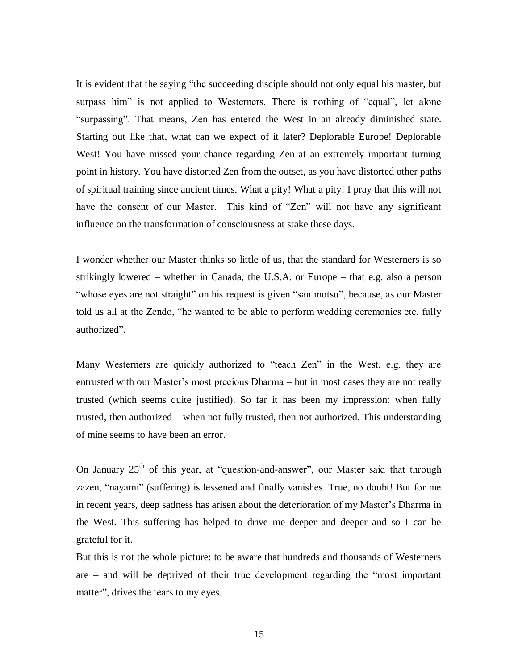It is evident that the saying "the succeeding disciple should not only equal his master, but surpass him" is not applied to Westerners. There is nothing of "equal", let alone "surpassing". That means, Zen has entered the West in an already diminished state. Starting out like that, what can we expect of it later? Deplorable Europe! Deplorable West! You have missed your chance regarding Zen at an extremely important turning point in history. You have distorted Zen from the outset, as you have distorted other paths of spiritual training since ancient times. What a pity! What a pity! I pray that this will not have the consent of our Master. This kind of "Zen" will not have any significant influence on the transformation of consciousness at stake these days.

I wonder whether our Master thinks so little of us, that the standard for Westerners is so strikingly lowered – whether in Canada, the U.S.A. or Europe – that e.g. also a person "whose eyes are not straight" on his request is given "san motsu", because, as our Master told us all at the Zendo, "he wanted to be able to perform wedding ceremonies etc. fully authorized".

Many Westerners are quickly authorized to "teach Zen" in the West, e.g. they are entrusted with our Master's most precious Dharma – but in most cases they are not really trusted (which seems quite justified). So far it has been my impression: when fully trusted, then authorized – when not fully trusted, then not authorized. This understanding of mine seems to have been an error.

On January  $25<sup>th</sup>$  of this year, at "question-and-answer", our Master said that through zazen, "nayami" (suffering) is lessened and finally vanishes. True, no doubt! But for me in recent years, deep sadness has arisen about the deterioration of my Master's Dharma in the West. This suffering has helped to drive me deeper and deeper and so I can be grateful for it.

But this is not the whole picture: to be aware that hundreds and thousands of Westerners are – and will be deprived of their true development regarding the "most important matter", drives the tears to my eyes.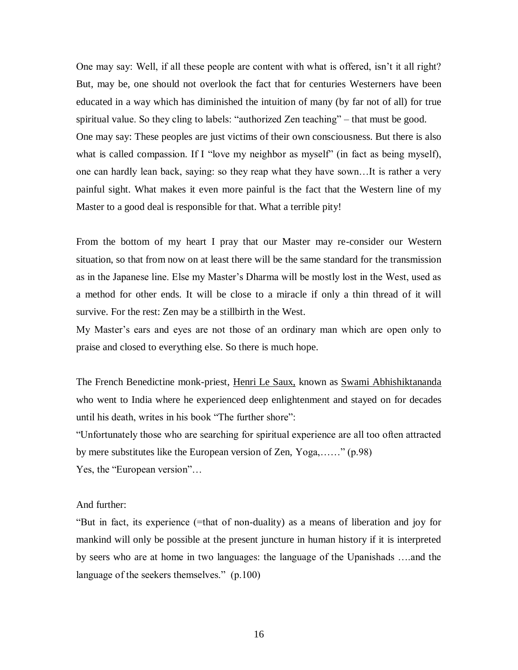One may say: Well, if all these people are content with what is offered, isn't it all right? But, may be, one should not overlook the fact that for centuries Westerners have been educated in a way which has diminished the intuition of many (by far not of all) for true spiritual value. So they cling to labels: "authorized Zen teaching" – that must be good. One may say: These peoples are just victims of their own consciousness. But there is also what is called compassion. If I "love my neighbor as myself" (in fact as being myself), one can hardly lean back, saying: so they reap what they have sown…It is rather a very painful sight. What makes it even more painful is the fact that the Western line of my Master to a good deal is responsible for that. What a terrible pity!

From the bottom of my heart I pray that our Master may re-consider our Western situation, so that from now on at least there will be the same standard for the transmission as in the Japanese line. Else my Master's Dharma will be mostly lost in the West, used as a method for other ends. It will be close to a miracle if only a thin thread of it will survive. For the rest: Zen may be a stillbirth in the West.

My Master's ears and eyes are not those of an ordinary man which are open only to praise and closed to everything else. So there is much hope.

The French Benedictine monk-priest, Henri Le Saux, known as Swami Abhishiktananda who went to India where he experienced deep enlightenment and stayed on for decades until his death, writes in his book "The further shore":

"Unfortunately those who are searching for spiritual experience are all too often attracted by mere substitutes like the European version of Zen, Yoga,……" (p.98)

Yes, the "European version"…

## And further:

"But in fact, its experience (=that of non-duality) as a means of liberation and joy for mankind will only be possible at the present juncture in human history if it is interpreted by seers who are at home in two languages: the language of the Upanishads ….and the language of the seekers themselves." (p.100)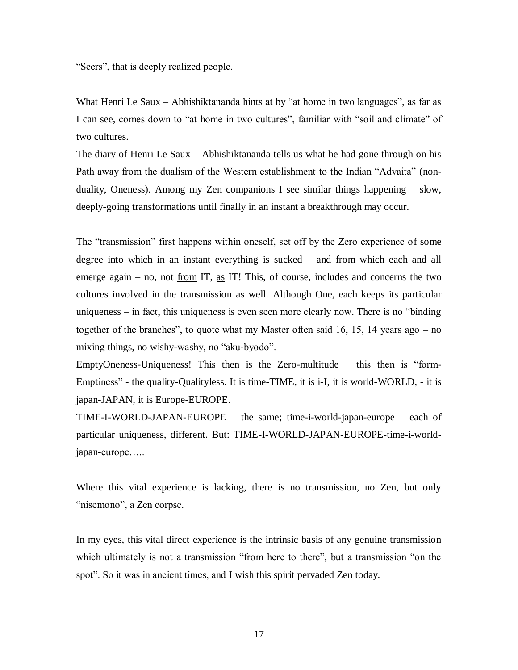"Seers", that is deeply realized people.

What Henri Le Saux – Abhishiktananda hints at by "at home in two languages", as far as I can see, comes down to "at home in two cultures", familiar with "soil and climate" of two cultures.

The diary of Henri Le Saux – Abhishiktananda tells us what he had gone through on his Path away from the dualism of the Western establishment to the Indian "Advaita" (nonduality, Oneness). Among my Zen companions I see similar things happening  $-$  slow, deeply-going transformations until finally in an instant a breakthrough may occur.

The "transmission" first happens within oneself, set off by the Zero experience of some degree into which in an instant everything is sucked – and from which each and all emerge again – no, not <u>from</u> IT, <u>as</u> IT! This, of course, includes and concerns the two cultures involved in the transmission as well. Although One, each keeps its particular uniqueness – in fact, this uniqueness is even seen more clearly now. There is no "binding together of the branches", to quote what my Master often said 16, 15, 14 years ago – no mixing things, no wishy-washy, no "aku-byodo".

EmptyOneness-Uniqueness! This then is the Zero-multitude – this then is "form-Emptiness" - the quality-Qualityless. It is time-TIME, it is i-I, it is world-WORLD, - it is japan-JAPAN, it is Europe-EUROPE.

TIME-I-WORLD-JAPAN-EUROPE – the same; time-i-world-japan-europe – each of particular uniqueness, different. But: TIME-I-WORLD-JAPAN-EUROPE-time-i-worldjapan-europe…..

Where this vital experience is lacking, there is no transmission, no Zen, but only "nisemono", a Zen corpse.

In my eyes, this vital direct experience is the intrinsic basis of any genuine transmission which ultimately is not a transmission "from here to there", but a transmission "on the spot". So it was in ancient times, and I wish this spirit pervaded Zen today.